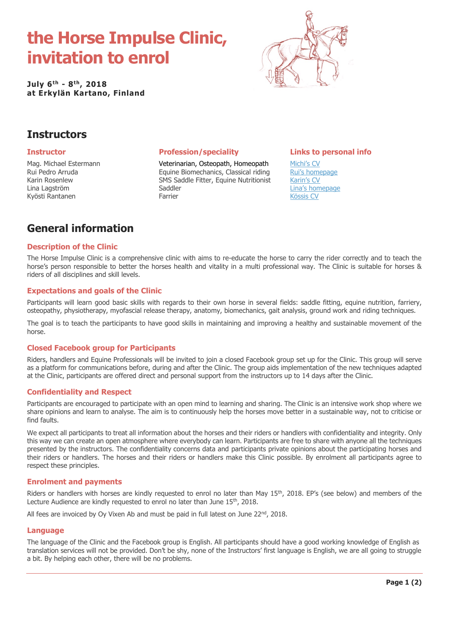# **the Horse Impulse Clinic, invitation to enrol**

**July 6th - 8 th, 2018 at Erkylän Kartano, Finland**



# **Instructors**

Mag. Michael Estermann Rui Pedro Arruda Karin Rosenlew Lina Lagström Kyösti Rantanen

Veterinarian, Osteopath, Homeopath Equine Biomechanics, Classical riding SMS Saddle Fitter, Equine Nutritionist Saddler Farrier

### **Instructor Profession/speciality Links to personal info**

[Michi's CV](https://www.vixen.fi/https-www-vixen-fi-cv-michi) [Rui's homepage](https://www.ruipedroarruda.com/en/uber-uns/) [Karin's CV](https://www.vixen.fi/karin-short-cv) Lina's [homepage](https://www.pegazos.net/about-bunny) [Kössis CV](https://www.vixen.fi/argh/kossi-rantanen)

# **General information**

#### **Description of the Clinic**

The Horse Impulse Clinic is a comprehensive clinic with aims to re-educate the horse to carry the rider correctly and to teach the horse's person responsible to better the horses health and vitality in a multi professional way. The Clinic is suitable for horses & riders of all disciplines and skill levels.

### **Expectations and goals of the Clinic**

Participants will learn good basic skills with regards to their own horse in several fields; saddle fitting, equine nutrition, farriery, osteopathy, physiotherapy, myofascial release therapy, anatomy, biomechanics, gait analysis, ground work and riding techniques.

The goal is to teach the participants to have good skills in maintaining and improving a healthy and sustainable movement of the horse.

#### **Closed Facebook group for Participants**

Riders, handlers and Equine Professionals will be invited to join a closed Facebook group set up for the Clinic. This group will serve as a platform for communications before, during and after the Clinic. The group aids implementation of the new techniques adapted at the Clinic, participants are offered direct and personal support from the instructors up to 14 days after the Clinic.

### **Confidentiality and Respect**

Participants are encouraged to participate with an open mind to learning and sharing. The Clinic is an intensive work shop where we share opinions and learn to analyse. The aim is to continuously help the horses move better in a sustainable way, not to criticise or find faults.

We expect all participants to treat all information about the horses and their riders or handlers with confidentiality and integrity. Only this way we can create an open atmosphere where everybody can learn. Participants are free to share with anyone all the techniques presented by the instructors. The confidentiality concerns data and participants private opinions about the participating horses and their riders or handlers. The horses and their riders or handlers make this Clinic possible. By enrolment all participants agree to respect these principles.

#### **Enrolment and payments**

Riders or handlers with horses are kindly requested to enrol no later than May  $15<sup>th</sup>$ , 2018. EP's (see below) and members of the Lecture Audience are kindly requested to enrol no later than June 15<sup>th</sup>, 2018.

All fees are invoiced by Oy Vixen Ab and must be paid in full latest on June  $22^{nd}$ ,  $2018$ .

#### **Language**

The language of the Clinic and the Facebook group is English. All participants should have a good working knowledge of English as translation services will not be provided. Don't be shy, none of the Instructors' first language is English, we are all going to struggle a bit. By helping each other, there will be no problems.